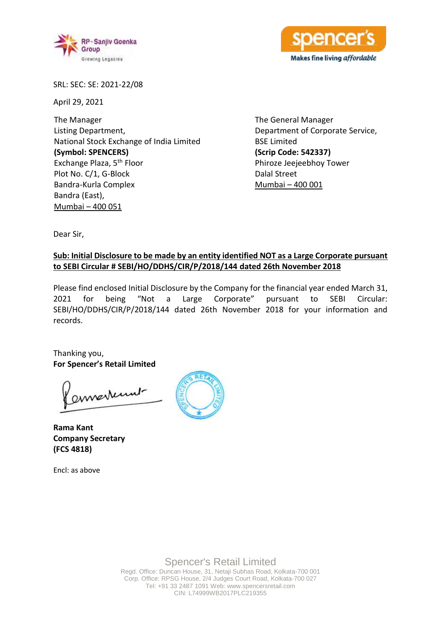



SRL: SEC: SE: 2021-22/08

April 29, 2021

The Manager Listing Department, National Stock Exchange of India Limited **(Symbol: SPENCERS)** Exchange Plaza, 5th Floor Plot No. C/1, G-Block Bandra-Kurla Complex Bandra (East), Mumbai – 400 051

The General Manager Department of Corporate Service, BSE Limited **(Scrip Code: 542337)** Phiroze Jeejeebhoy Tower Dalal Street Mumbai – 400 001

Dear Sir,

## **Sub: Initial Disclosure to be made by an entity identified NOT as a Large Corporate pursuant to SEBI Circular # SEBI/HO/DDHS/CIR/P/2018/144 dated 26th November 2018**

Please find enclosed Initial Disclosure by the Company for the financial year ended March 31, 2021 for being "Not a Large Corporate" pursuant to SEBI Circular: SEBI/HO/DDHS/CIR/P/2018/144 dated 26th November 2018 for your information and records.

Thanking you, **For Spencer's Retail Limited**

ennerkunt

**Rama Kant Company Secretary (FCS 4818)**

Encl: as above